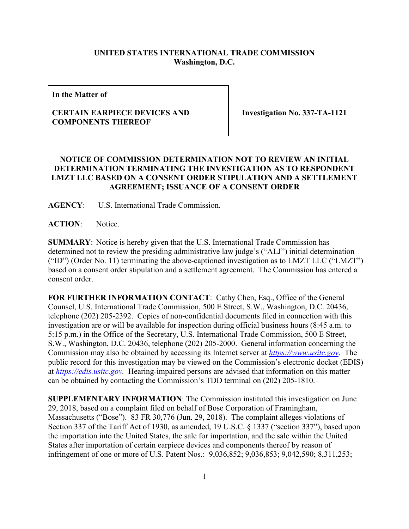## **UNITED STATES INTERNATIONAL TRADE COMMISSION Washington, D.C.**

**In the Matter of**

## **CERTAIN EARPIECE DEVICES AND COMPONENTS THEREOF**

**Investigation No. 337-TA-1121**

## **NOTICE OF COMMISSION DETERMINATION NOT TO REVIEW AN INITIAL DETERMINATION TERMINATING THE INVESTIGATION AS TO RESPONDENT LMZT LLC BASED ON A CONSENT ORDER STIPULATION AND A SETTLEMENT AGREEMENT; ISSUANCE OF A CONSENT ORDER**

**AGENCY**: U.S. International Trade Commission.

**ACTION**: Notice.

**SUMMARY**: Notice is hereby given that the U.S. International Trade Commission has determined not to review the presiding administrative law judge's ("ALJ") initial determination ("ID") (Order No. 11) terminating the above-captioned investigation as to LMZT LLC ("LMZT") based on a consent order stipulation and a settlement agreement. The Commission has entered a consent order.

FOR FURTHER INFORMATION CONTACT: Cathy Chen, Esq., Office of the General Counsel, U.S. International Trade Commission, 500 E Street, S.W., Washington, D.C. 20436, telephone (202) 205-2392. Copies of non-confidential documents filed in connection with this investigation are or will be available for inspection during official business hours (8:45 a.m. to 5:15 p.m.) in the Office of the Secretary, U.S. International Trade Commission, 500 E Street, S.W., Washington, D.C. 20436, telephone (202) 205-2000. General information concerning the Commission may also be obtained by accessing its Internet server at *[https://www.usitc.gov](https://www.usitc.gov/)*. The public record for this investigation may be viewed on the Commission's electronic docket (EDIS) at *[https://edis.usitc.gov.](https://edis.usitc.gov/)* Hearing-impaired persons are advised that information on this matter can be obtained by contacting the Commission's TDD terminal on (202) 205-1810.

**SUPPLEMENTARY INFORMATION**: The Commission instituted this investigation on June 29, 2018, based on a complaint filed on behalf of Bose Corporation of Framingham, Massachusetts ("Bose"). 83 FR 30,776 (Jun. 29, 2018). The complaint alleges violations of Section 337 of the Tariff Act of 1930, as amended, 19 U.S.C. § 1337 ("section 337"), based upon the importation into the United States, the sale for importation, and the sale within the United States after importation of certain earpiece devices and components thereof by reason of infringement of one or more of U.S. Patent Nos.: 9,036,852; 9,036,853; 9,042,590; 8,311,253;